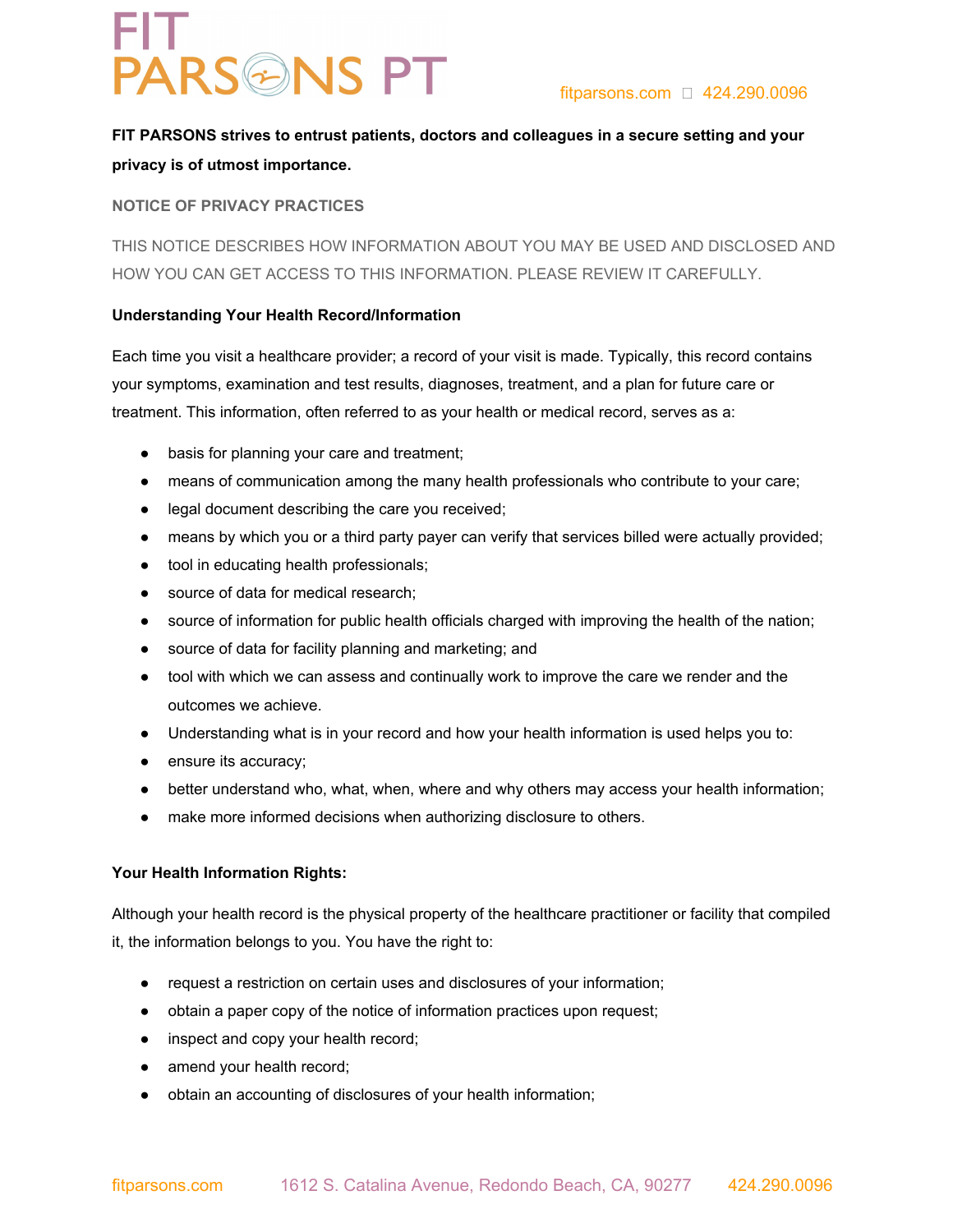### **FIT PARSONS strives to entrust patients, doctors and colleagues in a secure setting and your privacy is of utmost importance.**

#### **NOTICE OF PRIVACY PRACTICES**

THIS NOTICE DESCRIBES HOW INFORMATION ABOUT YOU MAY BE USED AND DISCLOSED AND HOW YOU CAN GET ACCESS TO THIS INFORMATION. PLEASE REVIEW IT CAREFULLY.

#### **Understanding Your Health Record/Information**

Each time you visit a healthcare provider; a record of your visit is made. Typically, this record contains your symptoms, examination and test results, diagnoses, treatment, and a plan for future care or treatment. This information, often referred to as your health or medical record, serves as a:

- basis for planning your care and treatment;
- means of communication among the many health professionals who contribute to your care;
- legal document describing the care you received;
- means by which you or a third party payer can verify that services billed were actually provided;
- tool in educating health professionals;
- source of data for medical research:
- source of information for public health officials charged with improving the health of the nation;
- source of data for facility planning and marketing; and
- tool with which we can assess and continually work to improve the care we render and the outcomes we achieve.
- Understanding what is in your record and how your health information is used helps you to:
- ensure its accuracy;
- better understand who, what, when, where and why others may access your health information;
- make more informed decisions when authorizing disclosure to others.

#### **Your Health Information Rights:**

Although your health record is the physical property of the healthcare practitioner or facility that compiled it, the information belongs to you. You have the right to:

- request a restriction on certain uses and disclosures of your information;
- obtain a paper copy of the notice of information practices upon request;
- inspect and copy your health record;
- amend your health record;
- obtain an accounting of disclosures of your health information;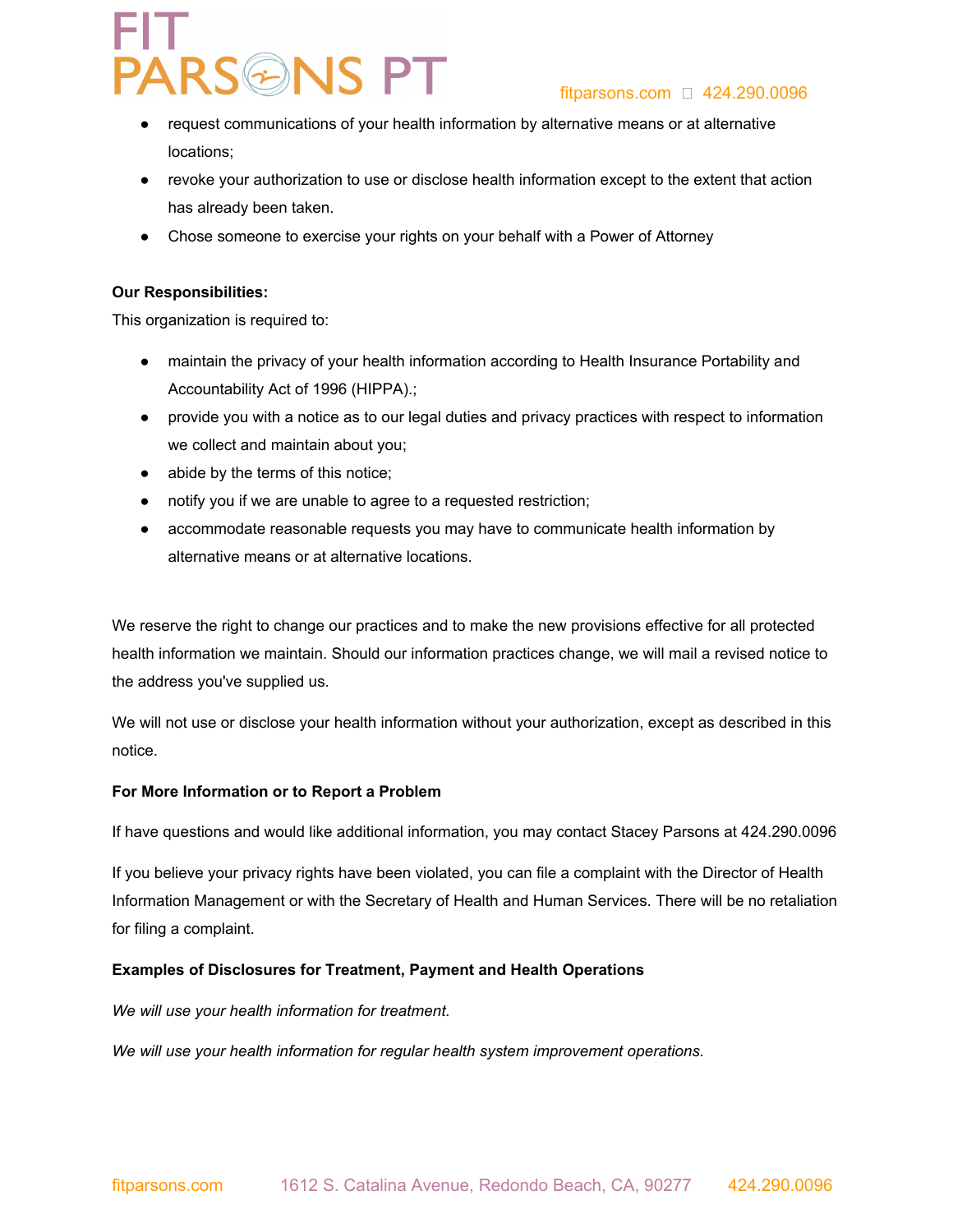- request communications of your health information by alternative means or at alternative locations;
- revoke your authorization to use or disclose health information except to the extent that action has already been taken.
- Chose someone to exercise your rights on your behalf with a Power of Attorney

#### **Our Responsibilities:**

This organization is required to:

- maintain the privacy of your health information according to Health Insurance Portability and Accountability Act of 1996 (HIPPA).;
- provide you with a notice as to our legal duties and privacy practices with respect to information we collect and maintain about you;
- abide by the terms of this notice;
- notify you if we are unable to agree to a requested restriction;
- accommodate reasonable requests you may have to communicate health information by alternative means or at alternative locations.

We reserve the right to change our practices and to make the new provisions effective for all protected health information we maintain. Should our information practices change, we will mail a revised notice to the address you've supplied us.

We will not use or disclose your health information without your authorization, except as described in this notice.

#### **For More Information or to Report a Problem**

If have questions and would like additional information, you may contact Stacey Parsons at 424.290.0096

If you believe your privacy rights have been violated, you can file a complaint with the Director of Health Information Management or with the Secretary of Health and Human Services. There will be no retaliation for filing a complaint.

#### **Examples of Disclosures for Treatment, Payment and Health Operations**

*We will use your health information for treatment.*

*We will use your health information for regular health system improvement operations.*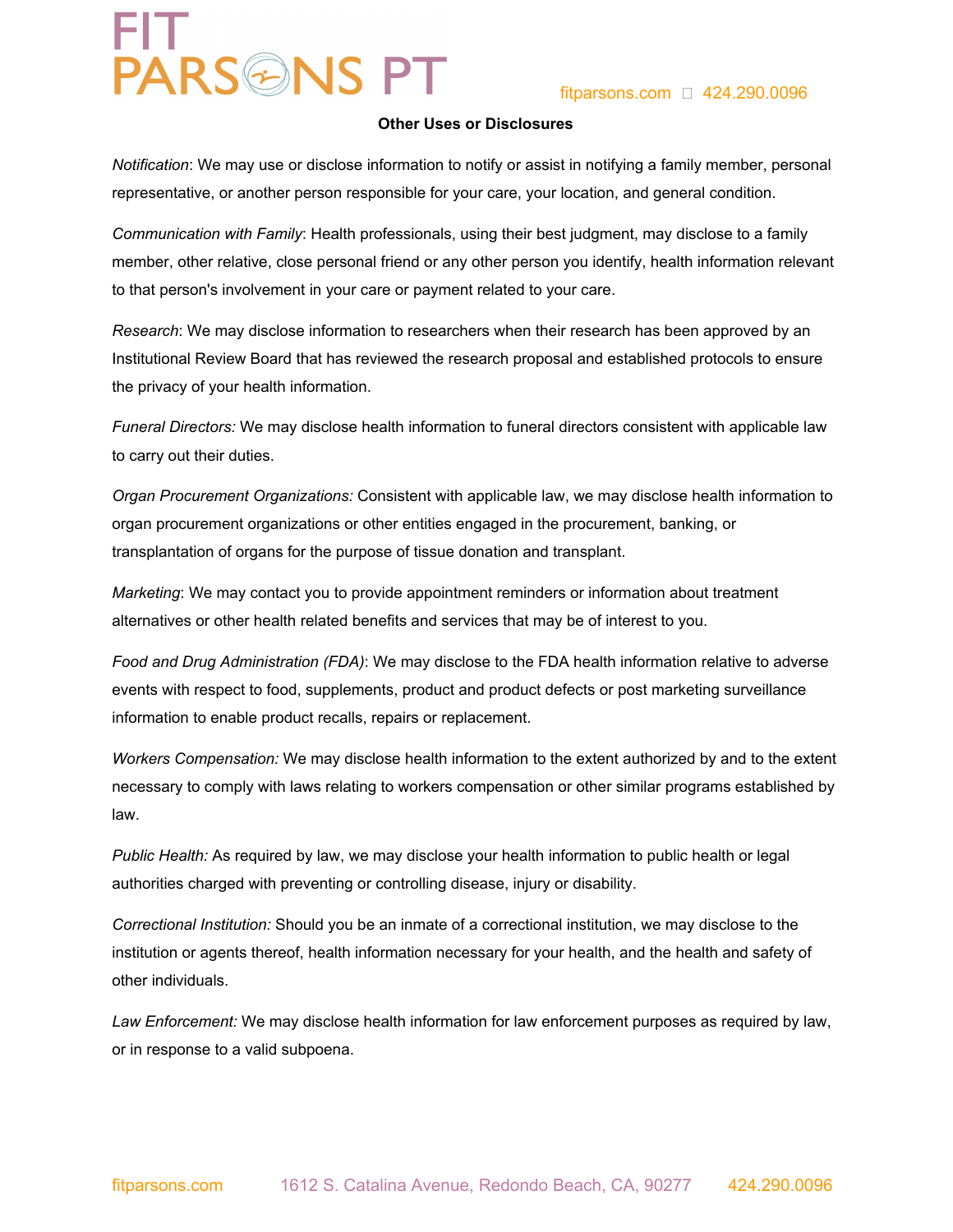## PARS@NS PT

#### **Other Uses or Disclosures**

*Notification*: We may use or disclose information to notify or assist in notifying a family member, personal representative, or another person responsible for your care, your location, and general condition.

*Communication with Family*: Health professionals, using their best judgment, may disclose to a family member, other relative, close personal friend or any other person you identify, health information relevant to that person's involvement in your care or payment related to your care.

*Research*: We may disclose information to researchers when their research has been approved by an Institutional Review Board that has reviewed the research proposal and established protocols to ensure the privacy of your health information.

*Funeral Directors:* We may disclose health information to funeral directors consistent with applicable law to carry out their duties.

*Organ Procurement Organizations:* Consistent with applicable law, we may disclose health information to organ procurement organizations or other entities engaged in the procurement, banking, or transplantation of organs for the purpose of tissue donation and transplant.

*Marketing*: We may contact you to provide appointment reminders or information about treatment alternatives or other health related benefits and services that may be of interest to you.

*Food and Drug Administration (FDA)*: We may disclose to the FDA health information relative to adverse events with respect to food, supplements, product and product defects or post marketing surveillance information to enable product recalls, repairs or replacement.

*Workers Compensation:* We may disclose health information to the extent authorized by and to the extent necessary to comply with laws relating to workers compensation or other similar programs established by law.

*Public Health:* As required by law, we may disclose your health information to public health or legal authorities charged with preventing or controlling disease, injury or disability.

*Correctional Institution:* Should you be an inmate of a correctional institution, we may disclose to the institution or agents thereof, health information necessary for your health, and the health and safety of other individuals.

*Law Enforcement:* We may disclose health information for law enforcement purposes as required by law, or in response to a valid subpoena.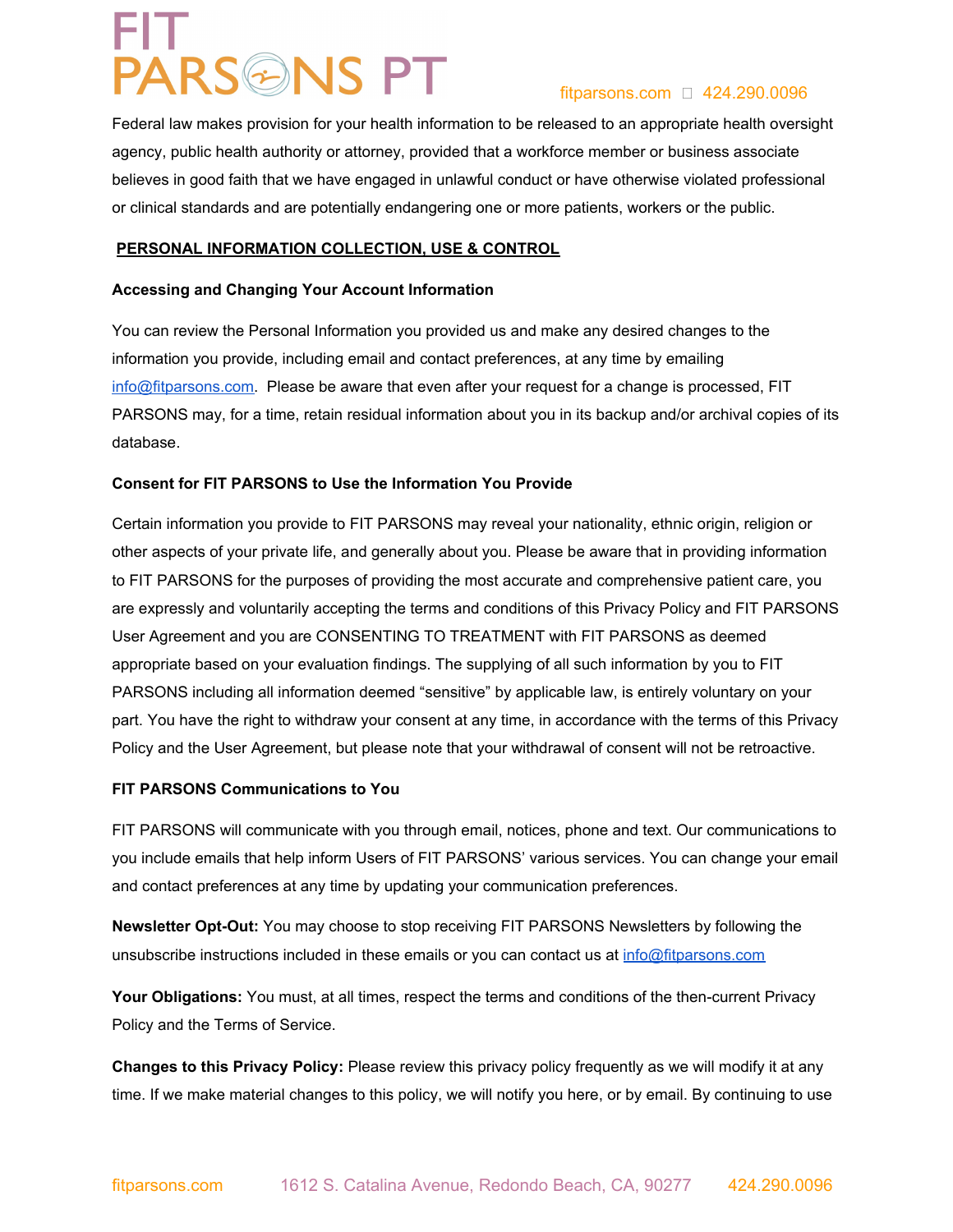## FI L **PARSONS PT**

#### fitparsons.com  $\Box$  424.290.0096

Federal law makes provision for your health information to be released to an appropriate health oversight agency, public health authority or attorney, provided that a workforce member or business associate believes in good faith that we have engaged in unlawful conduct or have otherwise violated professional or clinical standards and are potentially endangering one or more patients, workers or the public.

#### **PERSONAL INFORMATION COLLECTION, USE & CONTROL**

#### **Accessing and Changing Your Account Information**

You can review the Personal Information you provided us and make any desired changes to the information you provide, including email and contact preferences, at any time by emailing [info@fitparsons.com.](mailto:info@fitparsons.com) Please be aware that even after your request for a change is processed, FIT PARSONS may, for a time, retain residual information about you in its backup and/or archival copies of its database.

#### **Consent for FIT PARSONS to Use the Information You Provide**

Certain information you provide to FIT PARSONS may reveal your nationality, ethnic origin, religion or other aspects of your private life, and generally about you. Please be aware that in providing information to FIT PARSONS for the purposes of providing the most accurate and comprehensive patient care, you are expressly and voluntarily accepting the terms and conditions of this Privacy Policy and FIT PARSONS User Agreement and you are CONSENTING TO TREATMENT with FIT PARSONS as deemed appropriate based on your evaluation findings. The supplying of all such information by you to FIT PARSONS including all information deemed "sensitive" by applicable law, is entirely voluntary on your part. You have the right to withdraw your consent at any time, in accordance with the terms of this Privacy Policy and the User Agreement, but please note that your withdrawal of consent will not be retroactive.

#### **FIT PARSONS Communications to You**

FIT PARSONS will communicate with you through email, notices, phone and text. Our communications to you include emails that help inform Users of FIT PARSONS' various services. You can change your email and contact preferences at any time by updating your communication preferences.

**Newsletter Opt-Out:** You may choose to stop receiving FIT PARSONS Newsletters by following the unsubscribe instructions included in these emails or you can contact us at [info@fitparsons.com](mailto:info@fitparsons.com)

**Your Obligations:** You must, at all times, respect the terms and conditions of the then-current Privacy Policy and the Terms of Service.

**Changes to this Privacy Policy:** Please review this privacy policy frequently as we will modify it at any time. If we make material changes to this policy, we will notify you here, or by email. By continuing to use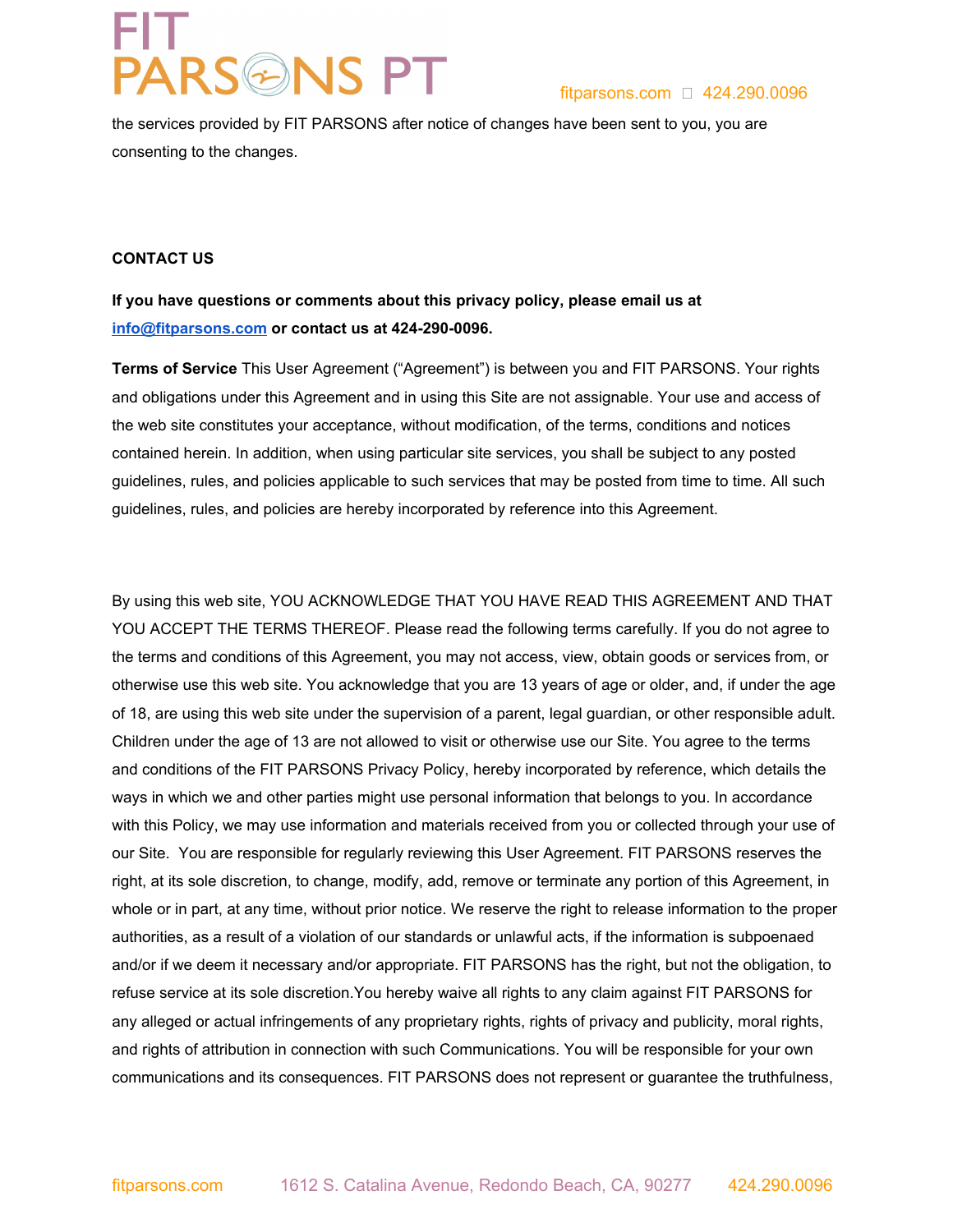### FIT **PARSONS PT**

the services provided by FIT PARSONS after notice of changes have been sent to you, you are consenting to the changes.

#### **CONTACT US**

**If you have questions or comments about this privacy policy, please email us at [info@fitparsons.com](mailto:info@fitparsons.com) or contact us at 424-290-0096.**

**Terms of Service** This User Agreement ("Agreement") is between you and FIT PARSONS. Your rights and obligations under this Agreement and in using this Site are not assignable. Your use and access of the web site constitutes your acceptance, without modification, of the terms, conditions and notices contained herein. In addition, when using particular site services, you shall be subject to any posted guidelines, rules, and policies applicable to such services that may be posted from time to time. All such guidelines, rules, and policies are hereby incorporated by reference into this Agreement.

By using this web site, YOU ACKNOWLEDGE THAT YOU HAVE READ THIS AGREEMENT AND THAT YOU ACCEPT THE TERMS THEREOF. Please read the following terms carefully. If you do not agree to the terms and conditions of this Agreement, you may not access, view, obtain goods or services from, or otherwise use this web site. You acknowledge that you are 13 years of age or older, and, if under the age of 18, are using this web site under the supervision of a parent, legal guardian, or other responsible adult. Children under the age of 13 are not allowed to visit or otherwise use our Site. You agree to the terms and conditions of the FIT PARSONS Privacy Policy, hereby incorporated by reference, which details the ways in which we and other parties might use personal information that belongs to you. In accordance with this Policy, we may use information and materials received from you or collected through your use of our Site. You are responsible for regularly reviewing this User Agreement. FIT PARSONS reserves the right, at its sole discretion, to change, modify, add, remove or terminate any portion of this Agreement, in whole or in part, at any time, without prior notice. We reserve the right to release information to the proper authorities, as a result of a violation of our standards or unlawful acts, if the information is subpoenaed and/or if we deem it necessary and/or appropriate. FIT PARSONS has the right, but not the obligation, to refuse service at its sole discretion.You hereby waive all rights to any claim against FIT PARSONS for any alleged or actual infringements of any proprietary rights, rights of privacy and publicity, moral rights, and rights of attribution in connection with such Communications. You will be responsible for your own communications and its consequences. FIT PARSONS does not represent or guarantee the truthfulness,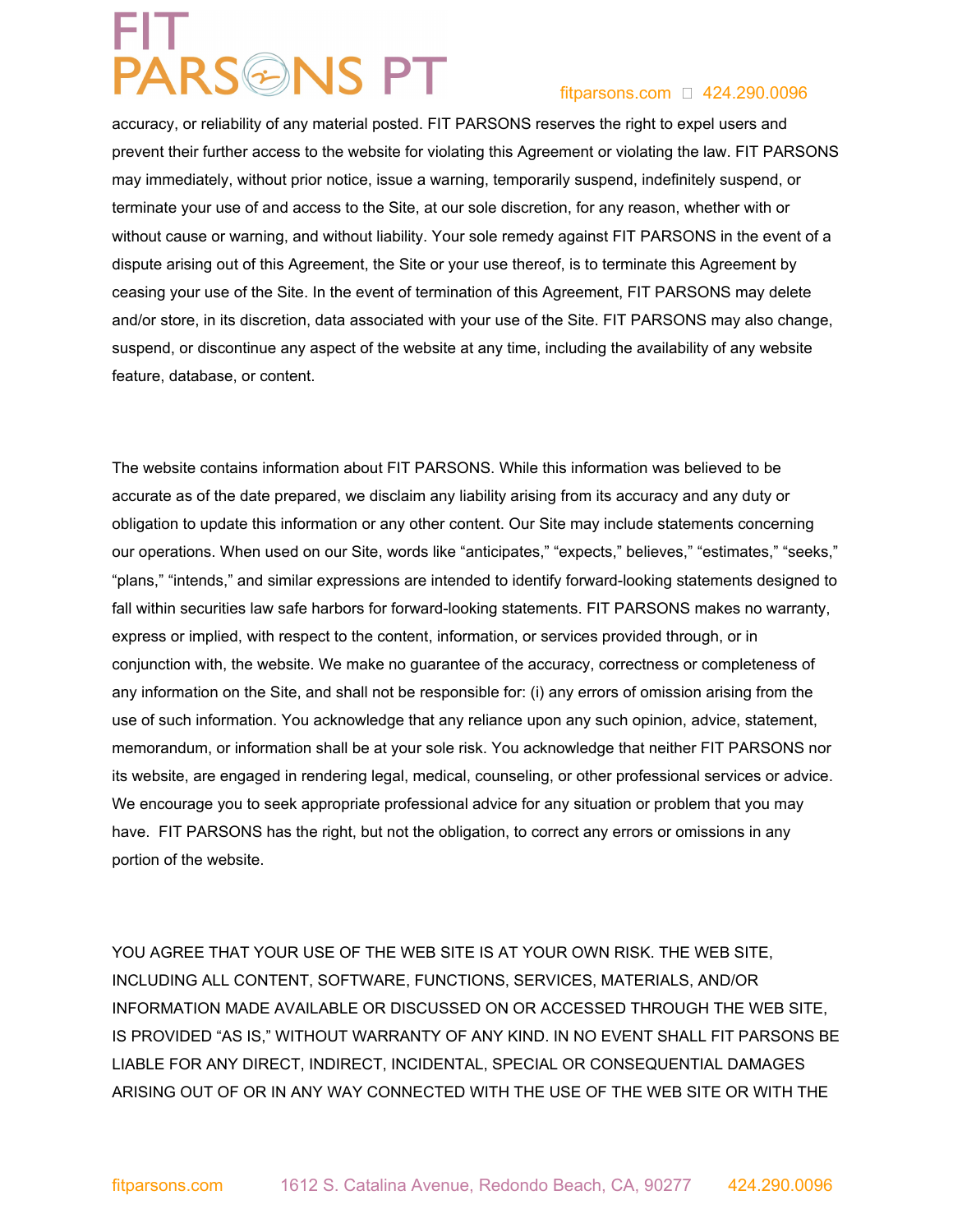### FH. **PARSONS PT**

#### fitparsons.com  $\Box$  424.290.0096

accuracy, or reliability of any material posted. FIT PARSONS reserves the right to expel users and prevent their further access to the website for violating this Agreement or violating the law. FIT PARSONS may immediately, without prior notice, issue a warning, temporarily suspend, indefinitely suspend, or terminate your use of and access to the Site, at our sole discretion, for any reason, whether with or without cause or warning, and without liability. Your sole remedy against FIT PARSONS in the event of a dispute arising out of this Agreement, the Site or your use thereof, is to terminate this Agreement by ceasing your use of the Site. In the event of termination of this Agreement, FIT PARSONS may delete and/or store, in its discretion, data associated with your use of the Site. FIT PARSONS may also change, suspend, or discontinue any aspect of the website at any time, including the availability of any website feature, database, or content.

The website contains information about FIT PARSONS. While this information was believed to be accurate as of the date prepared, we disclaim any liability arising from its accuracy and any duty or obligation to update this information or any other content. Our Site may include statements concerning our operations. When used on our Site, words like "anticipates," "expects," believes," "estimates," "seeks," "plans," "intends," and similar expressions are intended to identify forward-looking statements designed to fall within securities law safe harbors for forward-looking statements. FIT PARSONS makes no warranty, express or implied, with respect to the content, information, or services provided through, or in conjunction with, the website. We make no guarantee of the accuracy, correctness or completeness of any information on the Site, and shall not be responsible for: (i) any errors of omission arising from the use of such information. You acknowledge that any reliance upon any such opinion, advice, statement, memorandum, or information shall be at your sole risk. You acknowledge that neither FIT PARSONS nor its website, are engaged in rendering legal, medical, counseling, or other professional services or advice. We encourage you to seek appropriate professional advice for any situation or problem that you may have. FIT PARSONS has the right, but not the obligation, to correct any errors or omissions in any portion of the website.

YOU AGREE THAT YOUR USE OF THE WEB SITE IS AT YOUR OWN RISK. THE WEB SITE, INCLUDING ALL CONTENT, SOFTWARE, FUNCTIONS, SERVICES, MATERIALS, AND/OR INFORMATION MADE AVAILABLE OR DISCUSSED ON OR ACCESSED THROUGH THE WEB SITE, IS PROVIDED "AS IS," WITHOUT WARRANTY OF ANY KIND. IN NO EVENT SHALL FIT PARSONS BE LIABLE FOR ANY DIRECT, INDIRECT, INCIDENTAL, SPECIAL OR CONSEQUENTIAL DAMAGES ARISING OUT OF OR IN ANY WAY CONNECTED WITH THE USE OF THE WEB SITE OR WITH THE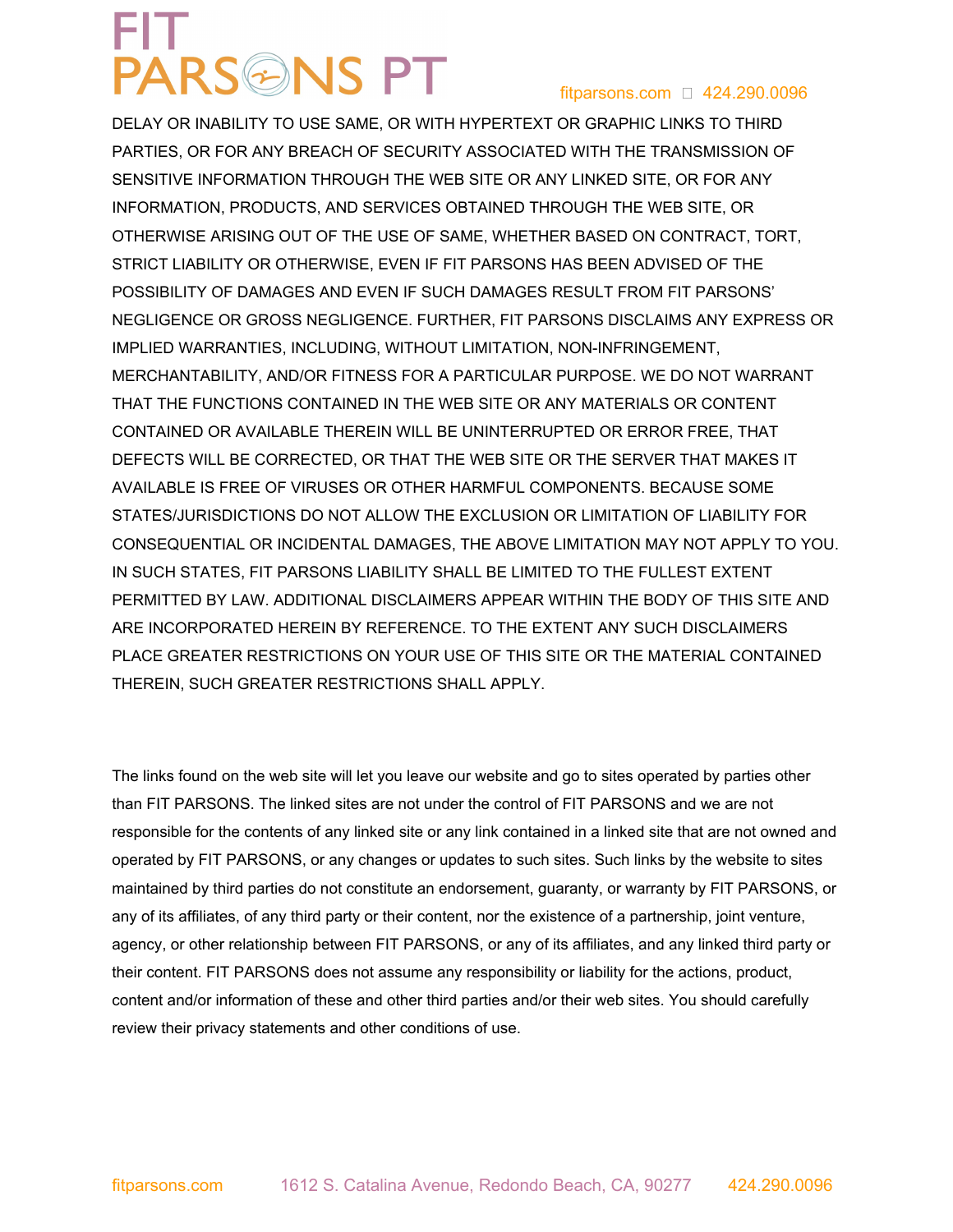## FIT **PARSONS PT**

#### fitparsons.com  $\Box$  424.290.0096

DELAY OR INABILITY TO USE SAME, OR WITH HYPERTEXT OR GRAPHIC LINKS TO THIRD PARTIES, OR FOR ANY BREACH OF SECURITY ASSOCIATED WITH THE TRANSMISSION OF SENSITIVE INFORMATION THROUGH THE WEB SITE OR ANY LINKED SITE, OR FOR ANY INFORMATION, PRODUCTS, AND SERVICES OBTAINED THROUGH THE WEB SITE, OR OTHERWISE ARISING OUT OF THE USE OF SAME, WHETHER BASED ON CONTRACT, TORT, STRICT LIABILITY OR OTHERWISE, EVEN IF FIT PARSONS HAS BEEN ADVISED OF THE POSSIBILITY OF DAMAGES AND EVEN IF SUCH DAMAGES RESULT FROM FIT PARSONS' NEGLIGENCE OR GROSS NEGLIGENCE. FURTHER, FIT PARSONS DISCLAIMS ANY EXPRESS OR IMPLIED WARRANTIES, INCLUDING, WITHOUT LIMITATION, NON-INFRINGEMENT, MERCHANTABILITY, AND/OR FITNESS FOR A PARTICULAR PURPOSE. WE DO NOT WARRANT THAT THE FUNCTIONS CONTAINED IN THE WEB SITE OR ANY MATERIALS OR CONTENT CONTAINED OR AVAILABLE THEREIN WILL BE UNINTERRUPTED OR ERROR FREE, THAT DEFECTS WILL BE CORRECTED, OR THAT THE WEB SITE OR THE SERVER THAT MAKES IT AVAILABLE IS FREE OF VIRUSES OR OTHER HARMFUL COMPONENTS. BECAUSE SOME STATES/JURISDICTIONS DO NOT ALLOW THE EXCLUSION OR LIMITATION OF LIABILITY FOR CONSEQUENTIAL OR INCIDENTAL DAMAGES, THE ABOVE LIMITATION MAY NOT APPLY TO YOU. IN SUCH STATES, FIT PARSONS LIABILITY SHALL BE LIMITED TO THE FULLEST EXTENT PERMITTED BY LAW. ADDITIONAL DISCLAIMERS APPEAR WITHIN THE BODY OF THIS SITE AND ARE INCORPORATED HEREIN BY REFERENCE. TO THE EXTENT ANY SUCH DISCLAIMERS PLACE GREATER RESTRICTIONS ON YOUR USE OF THIS SITE OR THE MATERIAL CONTAINED THEREIN, SUCH GREATER RESTRICTIONS SHALL APPLY.

The links found on the web site will let you leave our website and go to sites operated by parties other than FIT PARSONS. The linked sites are not under the control of FIT PARSONS and we are not responsible for the contents of any linked site or any link contained in a linked site that are not owned and operated by FIT PARSONS, or any changes or updates to such sites. Such links by the website to sites maintained by third parties do not constitute an endorsement, guaranty, or warranty by FIT PARSONS, or any of its affiliates, of any third party or their content, nor the existence of a partnership, joint venture, agency, or other relationship between FIT PARSONS, or any of its affiliates, and any linked third party or their content. FIT PARSONS does not assume any responsibility or liability for the actions, product, content and/or information of these and other third parties and/or their web sites. You should carefully review their privacy statements and other conditions of use.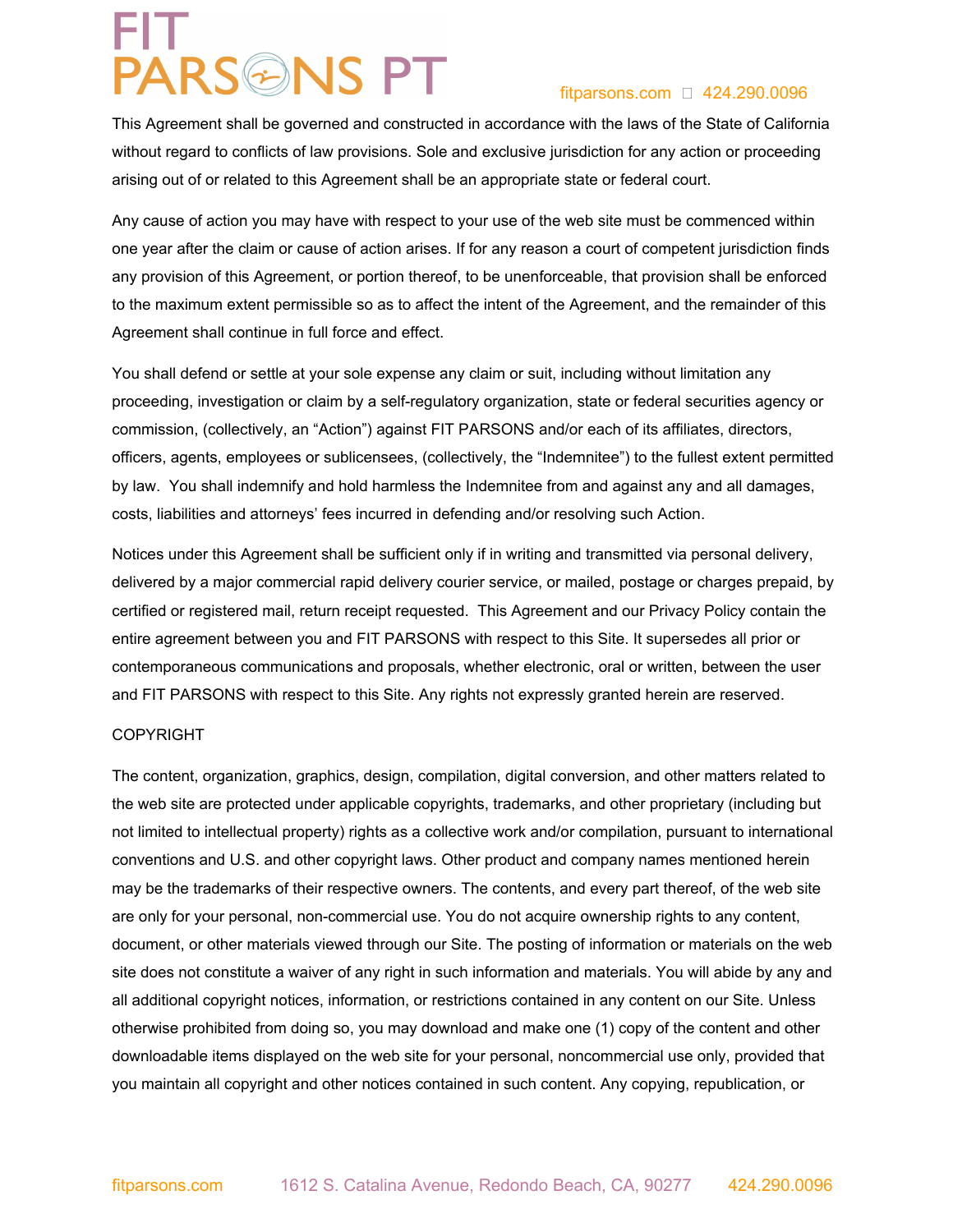### FH L **PARSONS PT**

#### fitparsons.com  $\Box$  424.290.0096

This Agreement shall be governed and constructed in accordance with the laws of the State of California without regard to conflicts of law provisions. Sole and exclusive jurisdiction for any action or proceeding arising out of or related to this Agreement shall be an appropriate state or federal court.

Any cause of action you may have with respect to your use of the web site must be commenced within one year after the claim or cause of action arises. If for any reason a court of competent jurisdiction finds any provision of this Agreement, or portion thereof, to be unenforceable, that provision shall be enforced to the maximum extent permissible so as to affect the intent of the Agreement, and the remainder of this Agreement shall continue in full force and effect.

You shall defend or settle at your sole expense any claim or suit, including without limitation any proceeding, investigation or claim by a self-regulatory organization, state or federal securities agency or commission, (collectively, an "Action") against FIT PARSONS and/or each of its affiliates, directors, officers, agents, employees or sublicensees, (collectively, the "Indemnitee") to the fullest extent permitted by law. You shall indemnify and hold harmless the Indemnitee from and against any and all damages, costs, liabilities and attorneys' fees incurred in defending and/or resolving such Action.

Notices under this Agreement shall be sufficient only if in writing and transmitted via personal delivery, delivered by a major commercial rapid delivery courier service, or mailed, postage or charges prepaid, by certified or registered mail, return receipt requested. This Agreement and our Privacy Policy contain the entire agreement between you and FIT PARSONS with respect to this Site. It supersedes all prior or contemporaneous communications and proposals, whether electronic, oral or written, between the user and FIT PARSONS with respect to this Site. Any rights not expressly granted herein are reserved.

#### COPYRIGHT

The content, organization, graphics, design, compilation, digital conversion, and other matters related to the web site are protected under applicable copyrights, trademarks, and other proprietary (including but not limited to intellectual property) rights as a collective work and/or compilation, pursuant to international conventions and U.S. and other copyright laws. Other product and company names mentioned herein may be the trademarks of their respective owners. The contents, and every part thereof, of the web site are only for your personal, non-commercial use. You do not acquire ownership rights to any content, document, or other materials viewed through our Site. The posting of information or materials on the web site does not constitute a waiver of any right in such information and materials. You will abide by any and all additional copyright notices, information, or restrictions contained in any content on our Site. Unless otherwise prohibited from doing so, you may download and make one (1) copy of the content and other downloadable items displayed on the web site for your personal, noncommercial use only, provided that you maintain all copyright and other notices contained in such content. Any copying, republication, or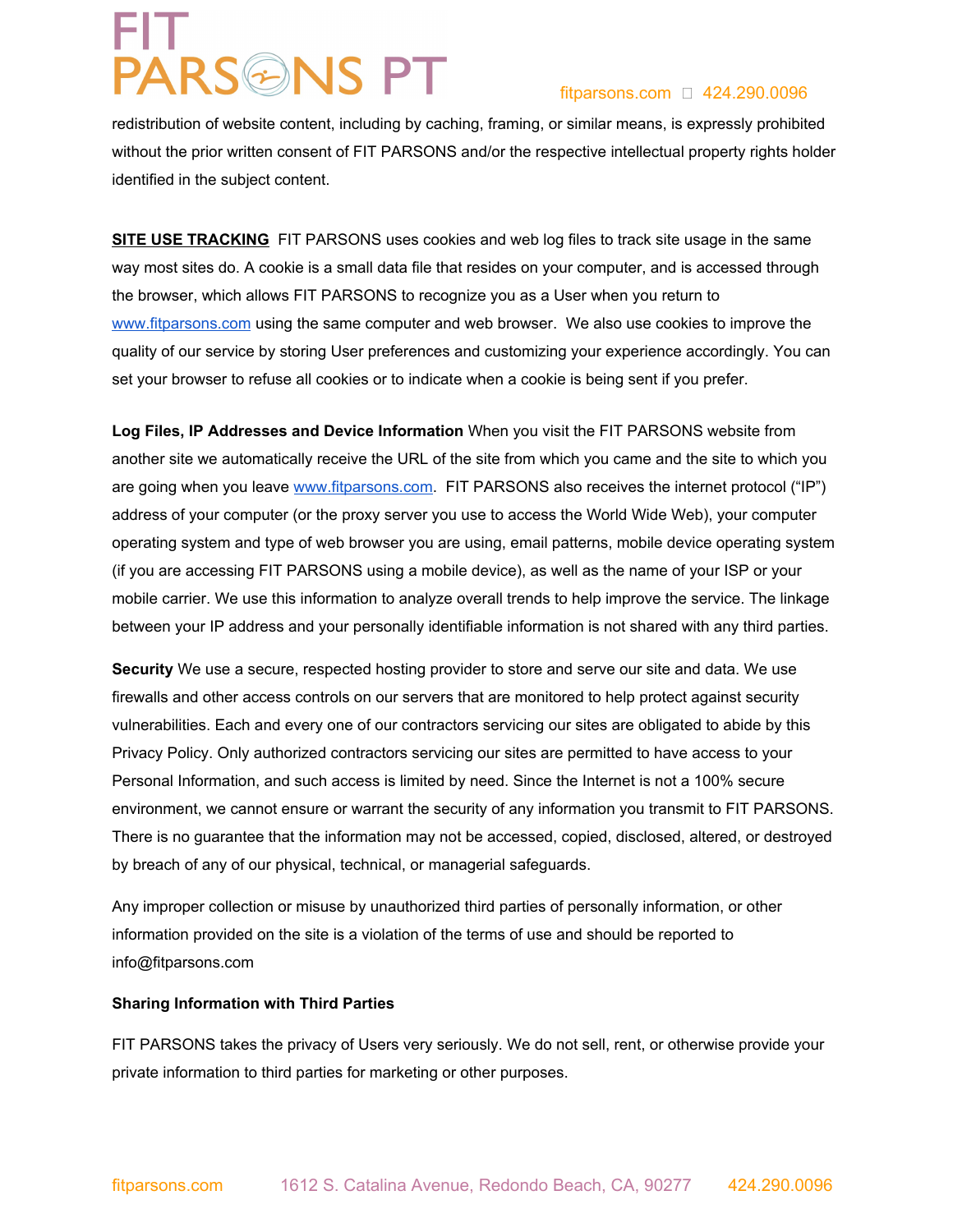#### fitparsons.com  $\Box$  424.290.0096

redistribution of website content, including by caching, framing, or similar means, is expressly prohibited without the prior written consent of FIT PARSONS and/or the respective intellectual property rights holder identified in the subject content.

**SITE USE TRACKING** FIT PARSONS uses cookies and web log files to track site usage in the same way most sites do. A cookie is a small data file that resides on your computer, and is accessed through the browser, which allows FIT PARSONS to recognize you as a User when you return to [www.fitparsons.com](http://www.fitparsons.com/) using the same computer and web browser. We also use cookies to improve the quality of our service by storing User preferences and customizing your experience accordingly. You can set your browser to refuse all cookies or to indicate when a cookie is being sent if you prefer.

**Log Files, IP Addresses and Device Information** When you visit the FIT PARSONS website from another site we automatically receive the URL of the site from which you came and the site to which you are going when you leave [www.fitparsons.com](http://www.fitparsons.com/). FIT PARSONS also receives the internet protocol ("IP") address of your computer (or the proxy server you use to access the World Wide Web), your computer operating system and type of web browser you are using, email patterns, mobile device operating system (if you are accessing FIT PARSONS using a mobile device), as well as the name of your ISP or your mobile carrier. We use this information to analyze overall trends to help improve the service. The linkage between your IP address and your personally identifiable information is not shared with any third parties.

**Security** We use a secure, respected hosting provider to store and serve our site and data. We use firewalls and other access controls on our servers that are monitored to help protect against security vulnerabilities. Each and every one of our contractors servicing our sites are obligated to abide by this Privacy Policy. Only authorized contractors servicing our sites are permitted to have access to your Personal Information, and such access is limited by need. Since the Internet is not a 100% secure environment, we cannot ensure or warrant the security of any information you transmit to FIT PARSONS. There is no guarantee that the information may not be accessed, copied, disclosed, altered, or destroyed by breach of any of our physical, technical, or managerial safeguards.

Any improper collection or misuse by unauthorized third parties of personally information, or other information provided on the site is a violation of the terms of use and should be reported to info@fitparsons.com

#### **Sharing Information with Third Parties**

FIT PARSONS takes the privacy of Users very seriously. We do not sell, rent, or otherwise provide your private information to third parties for marketing or other purposes.